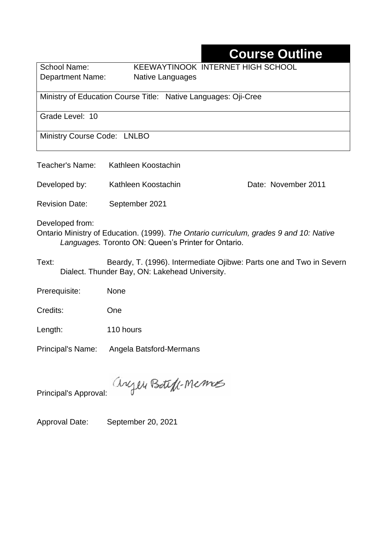# **Course Outline**

School Name: KEEWAYTINOOK INTERNET HIGH SCHOOL Department Name:Native Languages

Ministry of Education Course Title:Native Languages: Oji-Cree

Grade Level: 10

Ministry Course Code: LNLBO

| Teacher's Name: | Kathleen Koostachin |  |
|-----------------|---------------------|--|
|                 |                     |  |

Developed by: Kathleen Koostachin Date: November 2011

Revision Date: September 2021

Developed from:

Ontario Ministry of Education. (1999). *The Ontario curriculum, grades 9 and 10: Native Languages.* Toronto ON: Queen's Printer for Ontario.

Text: Beardy, T. (1996). Intermediate Ojibwe: Parts one and Two in Severn Dialect. Thunder Bay, ON: Lakehead University.

Prerequisite: None

Credits: One

Length: 110 hours

Principal's Name: Angela Batsford-Mermans

anyen Boteff-Memos

Principal's Approval:

Approval Date: September 20, 2021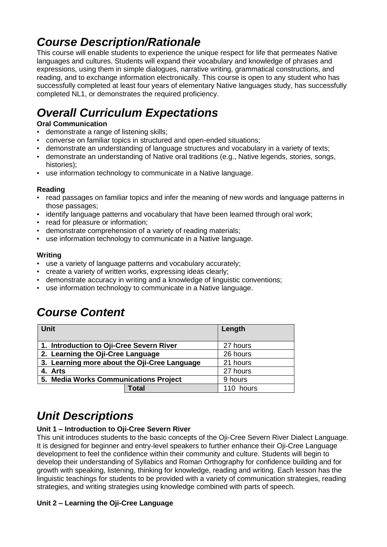# *Course Description/Rationale*

This course will enable students to experience the unique respect for life that permeates Native languages and cultures. Students will expand their vocabulary and knowledge of phrases and expressions, using them in simple dialogues, narrative writing, grammatical constructions, and reading, and to exchange information electronically. This course is open to any student who has successfully completed at least four years of elementary Native languages study, has successfully completed NL1, or demonstrates the required proficiency.

# *Overall Curriculum Expectations*

## **Oral Communication**

- demonstrate a range of listening skills;
- converse on familiar topics in structured and open-ended situations;
- demonstrate an understanding of language structures and vocabulary in a variety of texts;
- demonstrate an understanding of Native oral traditions (e.g., Native legends, stories, songs, histories);
- use information technology to communicate in a Native language.

### **Reading**

- read passages on familiar topics and infer the meaning of new words and language patterns in those passages;
- identify language patterns and vocabulary that have been learned through oral work;
- read for pleasure or information;
- demonstrate comprehension of a variety of reading materials;
- use information technology to communicate in a Native language.

### **Writing**

- use a variety of language patterns and vocabulary accurately;
- create a variety of written works, expressing ideas clearly;
- demonstrate accuracy in writing and a knowledge of linguistic conventions;
- use information technology to communicate in a Native language.

## *Course Content*

| <b>Unit</b>                                  | Length    |
|----------------------------------------------|-----------|
| 1. Introduction to Oji-Cree Severn River     | 27 hours  |
| 2. Learning the Oji-Cree Language            | 26 hours  |
| 3. Learning more about the Oji-Cree Language | 21 hours  |
| 4. Arts                                      | 27 hours  |
| 5. Media Works Communications Project        | 9 hours   |
| <b>Total</b>                                 | 110 hours |

# *Unit Descriptions*

### **Unit 1 – Introduction to Oji-Cree Severn River**

This unit introduces students to the basic concepts of the Oji-Cree Severn River Dialect Language. It is designed for beginner and entry-level speakers to further enhance their Oji-Cree Language development to feel the confidence within their community and culture. Students will begin to develop their understanding of Syllabics and Roman Orthography for confidence building and for growth with speaking, listening, thinking for knowledge, reading and writing. Each lesson has the linguistic teachings for students to be provided with a variety of communication strategies, reading strategies, and writing strategies using knowledge combined with parts of speech.

#### **Unit 2 – Learning the Oji-Cree Language**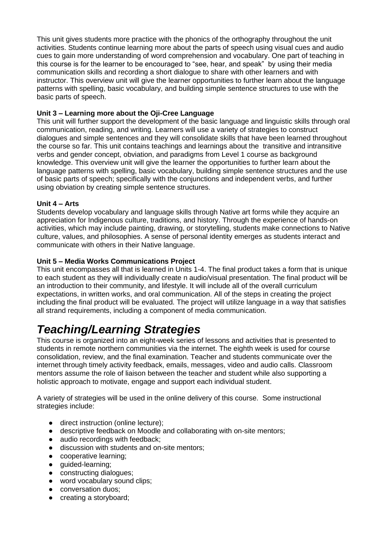This unit gives students more practice with the phonics of the orthography throughout the unit activities. Students continue learning more about the parts of speech using visual cues and audio cues to gain more understanding of word comprehension and vocabulary. One part of teaching in this course is for the learner to be encouraged to "see, hear, and speak" by using their media communication skills and recording a short dialogue to share with other learners and with instructor. This overview unit will give the learner opportunities to further learn about the language patterns with spelling, basic vocabulary, and building simple sentence structures to use with the basic parts of speech.

### **Unit 3 – Learning more about the Oji-Cree Language**

This unit will further support the development of the basic language and linguistic skills through oral communication, reading, and writing. Learners will use a variety of strategies to construct dialogues and simple sentences and they will consolidate skills that have been learned throughout the course so far. This unit contains teachings and learnings about the transitive and intransitive verbs and gender concept, obviation, and paradigms from Level 1 course as background knowledge. This overview unit will give the learner the opportunities to further learn about the language patterns with spelling, basic vocabulary, building simple sentence structures and the use of basic parts of speech; specifically with the conjunctions and independent verbs, and further using obviation by creating simple sentence structures.

### **Unit 4 – Arts**

Students develop vocabulary and language skills through Native art forms while they acquire an appreciation for Indigenous culture, traditions, and history. Through the experience of hands-on activities, which may include painting, drawing, or storytelling, students make connections to Native culture, values, and philosophies. A sense of personal identity emerges as students interact and communicate with others in their Native language.

### **Unit 5 – Media Works Communications Project**

This unit encompasses all that is learned in Units 1-4. The final product takes a form that is unique to each student as they will individually create n audio/visual presentation. The final product will be an introduction to their community, and lifestyle. It will include all of the overall curriculum expectations, in written works, and oral communication. All of the steps in creating the project including the final product will be evaluated. The project will utilize language in a way that satisfies all strand requirements, including a component of media communication.

# *Teaching/Learning Strategies*

This course is organized into an eight-week series of lessons and activities that is presented to students in remote northern communities via the internet. The eighth week is used for course consolidation, review, and the final examination. Teacher and students communicate over the internet through timely activity feedback, emails, messages, video and audio calls. Classroom mentors assume the role of liaison between the teacher and student while also supporting a holistic approach to motivate, engage and support each individual student.

A variety of strategies will be used in the online delivery of this course. Some instructional strategies include:

- direct instruction (online lecture);
- descriptive feedback on Moodle and collaborating with on-site mentors;
- audio recordings with feedback:
- discussion with students and on-site mentors;
- cooperative learning;
- guided-learning;
- constructing dialogues;
- word vocabulary sound clips:
- conversation duos;
- creating a storyboard;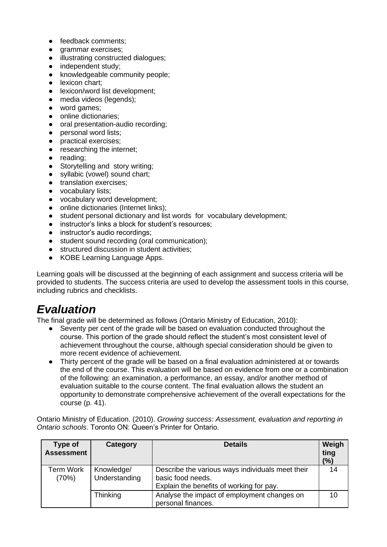- feedback comments:
- qrammar exercises;
- illustrating constructed dialogues;
- independent study;
- knowledgeable community people;
- lexicon chart:
- lexicon/word list development:
- media videos (legends);
- word games:
- online dictionaries;
- oral presentation-audio recording;
- personal word lists:
- practical exercises;
- researching the internet;
- reading;
- Storytelling and story writing;
- syllabic (vowel) sound chart;
- translation exercises;
- vocabulary lists;
- vocabulary word development;
- online dictionaries (Internet links):
- student personal dictionary and list words for vocabulary development;
- instructor's links a block for student's resources;<br>● instructor's audio recordings;
- instructor's audio recordings;
- student sound recording (oral communication);
- structured discussion in student activities;
- KOBE Learning Language Apps.

Learning goals will be discussed at the beginning of each assignment and success criteria will be provided to students. The success criteria are used to develop the assessment tools in this course, including rubrics and checklists.

## *Evaluation*

The final grade will be determined as follows (Ontario Ministry of Education, 2010):

- Seventy per cent of the grade will be based on evaluation conducted throughout the course. This portion of the grade should reflect the student's most consistent level of achievement throughout the course, although special consideration should be given to more recent evidence of achievement.
- Thirty percent of the grade will be based on a final evaluation administered at or towards the end of the course. This evaluation will be based on evidence from one or a combination of the following: an examination, a performance, an essay, and/or another method of evaluation suitable to the course content. The final evaluation allows the student an opportunity to demonstrate comprehensive achievement of the overall expectations for the course (p. 41).

Ontario Ministry of Education. (2010). *Growing success: Assessment, evaluation and reporting in Ontario schools*. Toronto ON: Queen's Printer for Ontario.

| Type of<br><b>Assessment</b> | Category                    | <b>Details</b>                                                                                                    | Weigh<br>ting<br>(%) |
|------------------------------|-----------------------------|-------------------------------------------------------------------------------------------------------------------|----------------------|
| Term Work<br>(70%)           | Knowledge/<br>Understanding | Describe the various ways individuals meet their<br>basic food needs.<br>Explain the benefits of working for pay. | 14                   |
|                              | Thinking                    | Analyse the impact of employment changes on<br>personal finances.                                                 | 10                   |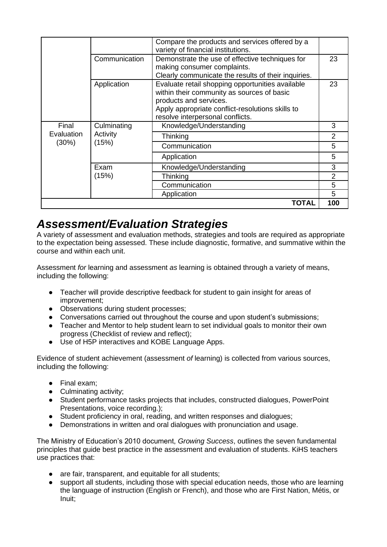|                              |                                  | Compare the products and services offered by a<br>variety of financial institutions.                                                                                                                             |                |
|------------------------------|----------------------------------|------------------------------------------------------------------------------------------------------------------------------------------------------------------------------------------------------------------|----------------|
|                              | Communication                    | Demonstrate the use of effective techniques for<br>making consumer complaints.<br>Clearly communicate the results of their inquiries.                                                                            | 23             |
|                              | Application                      | Evaluate retail shopping opportunities available<br>within their community as sources of basic<br>products and services.<br>Apply appropriate conflict-resolutions skills to<br>resolve interpersonal conflicts. | 23             |
| Final<br>Evaluation<br>(30%) | Culminating<br>Activity<br>(15%) | Knowledge/Understanding                                                                                                                                                                                          | 3              |
|                              |                                  | Thinking                                                                                                                                                                                                         | $\overline{2}$ |
|                              |                                  | Communication                                                                                                                                                                                                    | 5              |
|                              |                                  | Application                                                                                                                                                                                                      | 5              |
|                              | Exam                             | Knowledge/Understanding                                                                                                                                                                                          | 3              |
|                              | (15%)                            | Thinking                                                                                                                                                                                                         | $\overline{2}$ |
|                              |                                  | Communication                                                                                                                                                                                                    | 5              |
|                              |                                  | Application                                                                                                                                                                                                      | 5              |
|                              |                                  | TOTAL                                                                                                                                                                                                            | 100            |

## *Assessment/Evaluation Strategies*

A variety of assessment and evaluation methods, strategies and tools are required as appropriate to the expectation being assessed. These include diagnostic, formative, and summative within the course and within each unit.

Assessment *for* learning and assessment *as* learning is obtained through a variety of means, including the following:

- Teacher will provide descriptive feedback for student to gain insight for areas of improvement;
- Observations during student processes;
- Conversations carried out throughout the course and upon student's submissions;
- Teacher and Mentor to help student learn to set individual goals to monitor their own progress (Checklist of review and reflect);
- Use of H5P interactives and KOBE Language Apps.

Evidence of student achievement (assessment *of* learning) is collected from various sources, including the following:

- Final exam;
- Culminating activity;
- Student performance tasks projects that includes, constructed dialogues, PowerPoint Presentations, voice recording.);
- Student proficiency in oral, reading, and written responses and dialogues;
- Demonstrations in written and oral dialogues with pronunciation and usage.

The Ministry of Education's 2010 document, *Growing Success*, outlines the seven fundamental principles that guide best practice in the assessment and evaluation of students. KiHS teachers use practices that:

- are fair, transparent, and equitable for all students;
- support all students, including those with special education needs, those who are learning the language of instruction (English or French), and those who are First Nation, Métis, or Inuit;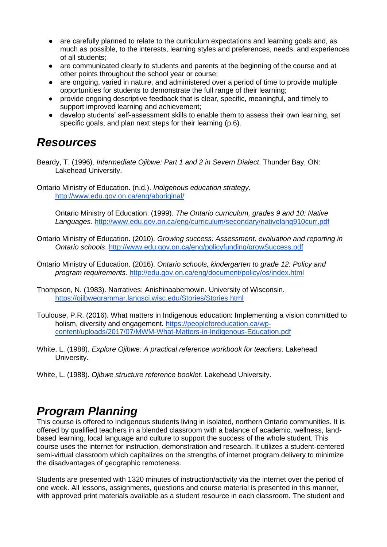- are carefully planned to relate to the curriculum expectations and learning goals and, as much as possible, to the interests, learning styles and preferences, needs, and experiences of all students;
- are communicated clearly to students and parents at the beginning of the course and at other points throughout the school year or course;
- are ongoing, varied in nature, and administered over a period of time to provide multiple opportunities for students to demonstrate the full range of their learning;
- provide ongoing descriptive feedback that is clear, specific, meaningful, and timely to support improved learning and achievement;
- develop students' self-assessment skills to enable them to assess their own learning, set specific goals, and plan next steps for their learning (p.6).

## *Resources*

Beardy, T. (1996). *Intermediate Ojibwe: Part 1 and 2 in Severn Dialect*. Thunder Bay, ON: Lakehead University.

Ontario Ministry of Education. (n.d.). *Indigenous education strategy.* <http://www.edu.gov.on.ca/eng/aboriginal/>

Ontario Ministry of Education. (1999). *The Ontario curriculum, grades 9 and 10: Native Languages.* <http://www.edu.gov.on.ca/eng/curriculum/secondary/nativelang910curr.pdf>

- Ontario Ministry of Education. (2010). *Growing success: Assessment, evaluation and reporting in Ontario schools*.<http://www.edu.gov.on.ca/eng/policyfunding/growSuccess.pdf>
- Ontario Ministry of Education. (2016). *Ontario schools, kindergarten to grade 12: Policy and program requirements.* <http://edu.gov.on.ca/eng/document/policy/os/index.html>
- Thompson, N. (1983). Narratives: Anishinaabemowin. University of Wisconsin. <https://ojibwegrammar.langsci.wisc.edu/Stories/Stories.html>
- Toulouse, P.R. (2016). What matters in Indigenous education: Implementing a vision committed to holism, diversity and engagement. [https://peopleforeducation.ca/wp](https://peopleforeducation.ca/wp-content/uploads/2017/07/MWM-What-Matters-in-Indigenous-Education.pdf)[content/uploads/2017/07/MWM-What-Matters-in-Indigenous-Education.pdf](https://peopleforeducation.ca/wp-content/uploads/2017/07/MWM-What-Matters-in-Indigenous-Education.pdf)
- White, L. (1988). *Explore Ojibwe: A practical reference workbook for teachers*. Lakehead University.
- White, L. (1988). *Ojibwe structure reference booklet.* Lakehead University.

# *Program Planning*

This course is offered to Indigenous students living in isolated, northern Ontario communities. It is offered by qualified teachers in a blended classroom with a balance of academic, wellness, landbased learning, local language and culture to support the success of the whole student. This course uses the internet for instruction, demonstration and research. It utilizes a student-centered semi-virtual classroom which capitalizes on the strengths of internet program delivery to minimize the disadvantages of geographic remoteness.

Students are presented with 1320 minutes of instruction/activity via the internet over the period of one week. All lessons, assignments, questions and course material is presented in this manner, with approved print materials available as a student resource in each classroom. The student and